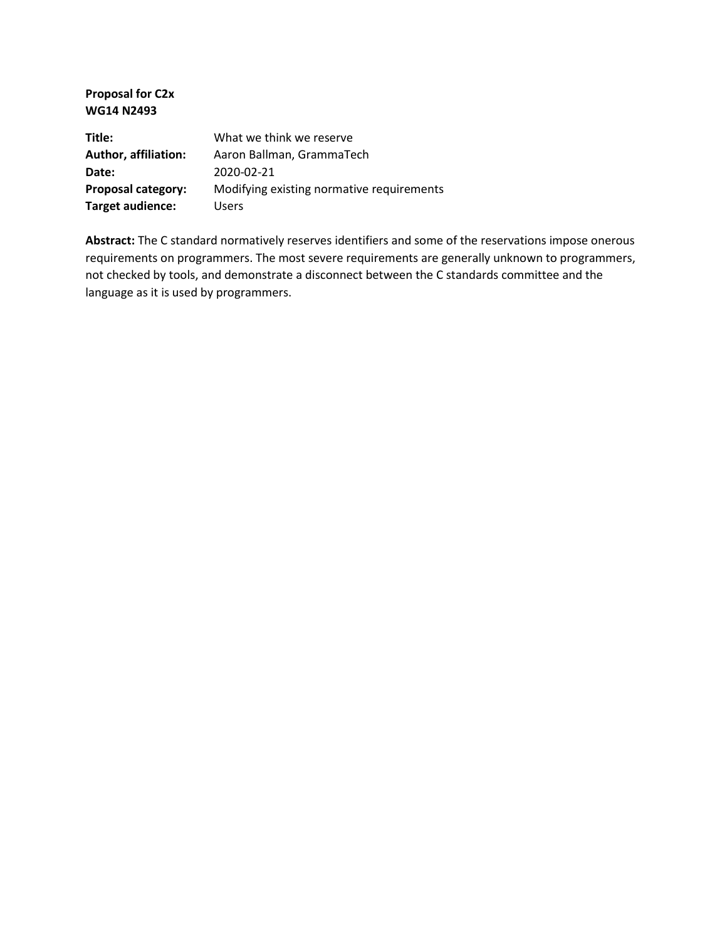**Proposal for C2x WG14 N2493**

| Title:               | What we think we reserve                  |
|----------------------|-------------------------------------------|
| Author, affiliation: | Aaron Ballman, GrammaTech                 |
| Date:                | 2020-02-21                                |
| Proposal category:   | Modifying existing normative requirements |
| Target audience:     | <b>Users</b>                              |

**Abstract:** The C standard normatively reserves identifiers and some of the reservations impose onerous requirements on programmers. The most severe requirements are generally unknown to programmers, not checked by tools, and demonstrate a disconnect between the C standards committee and the language as it is used by programmers.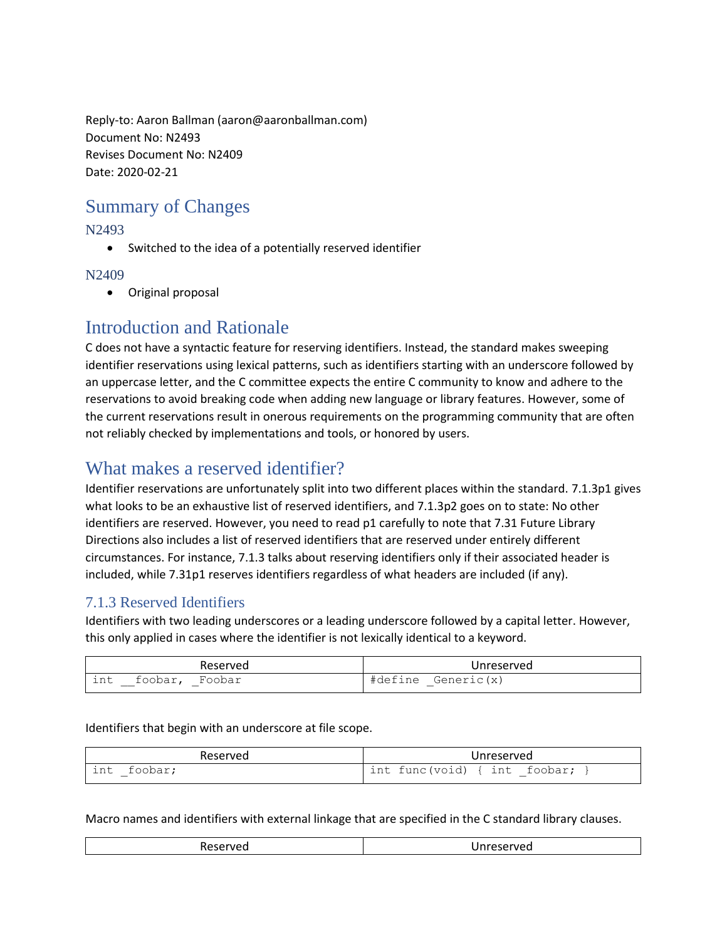Reply-to: Aaron Ballman (aaron@aaronballman.com) Document No: N2493 Revises Document No: N2409 Date: 2020-02-21

# Summary of Changes

#### N2493

• Switched to the idea of a potentially reserved identifier

#### N2409

• Original proposal

## Introduction and Rationale

C does not have a syntactic feature for reserving identifiers. Instead, the standard makes sweeping identifier reservations using lexical patterns, such as identifiers starting with an underscore followed by an uppercase letter, and the C committee expects the entire C community to know and adhere to the reservations to avoid breaking code when adding new language or library features. However, some of the current reservations result in onerous requirements on the programming community that are often not reliably checked by implementations and tools, or honored by users.

### What makes a reserved identifier?

Identifier reservations are unfortunately split into two different places within the standard. 7.1.3p1 gives what looks to be an exhaustive list of reserved identifiers, and 7.1.3p2 goes on to state: No other identifiers are reserved. However, you need to read p1 carefully to note that 7.31 Future Library Directions also includes a list of reserved identifiers that are reserved under entirely different circumstances. For instance, 7.1.3 talks about reserving identifiers only if their associated header is included, while 7.31p1 reserves identifiers regardless of what headers are included (if any).

#### 7.1.3 Reserved Identifiers

Identifiers with two leading underscores or a leading underscore followed by a capital letter. However, this only applied in cases where the identifier is not lexically identical to a keyword.

| Reserved                            | Unreserved            |
|-------------------------------------|-----------------------|
| $\sim +$<br>foobar,<br>Foobar<br>ᆂᄞ | Generic(x)<br>#define |

Identifiers that begin with an underscore at file scope.

| Reserved            | Unreserved                   |
|---------------------|------------------------------|
| int<br>foobar;<br>— | int func(void) { int foobar; |

Macro names and identifiers with external linkage that are specified in the C standard library clauses.

|--|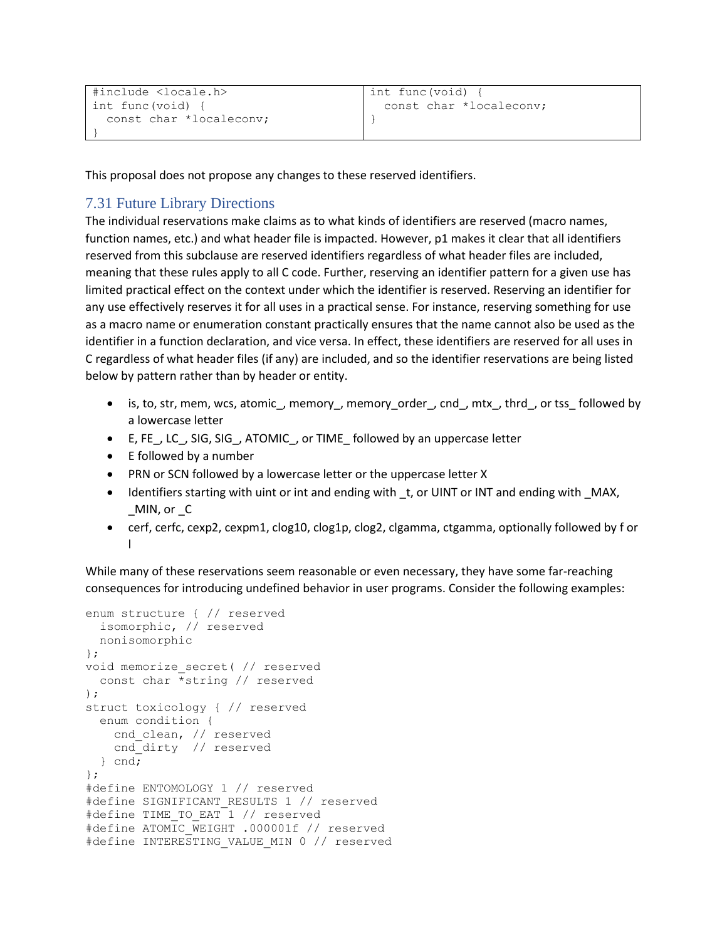```
#include <locale.h>
int func(void) {
   const char *localeconv;
}
```
This proposal does not propose any changes to these reserved identifiers.

#### 7.31 Future Library Directions

The individual reservations make claims as to what kinds of identifiers are reserved (macro names, function names, etc.) and what header file is impacted. However, p1 makes it clear that all identifiers reserved from this subclause are reserved identifiers regardless of what header files are included, meaning that these rules apply to all C code. Further, reserving an identifier pattern for a given use has limited practical effect on the context under which the identifier is reserved. Reserving an identifier for any use effectively reserves it for all uses in a practical sense. For instance, reserving something for use as a macro name or enumeration constant practically ensures that the name cannot also be used as the identifier in a function declaration, and vice versa. In effect, these identifiers are reserved for all uses in C regardless of what header files (if any) are included, and so the identifier reservations are being listed below by pattern rather than by header or entity.

- is, to, str, mem, wcs, atomic , memory\_, memory\_order\_, cnd\_, mtx\_, thrd\_, or tss\_ followed by a lowercase letter
- E, FE, LC, SIG, SIG, ATOMIC, or TIME followed by an uppercase letter
- E followed by a number
- PRN or SCN followed by a lowercase letter or the uppercase letter X
- Identifiers starting with uint or int and ending with \_t, or UINT or INT and ending with \_MAX, \_MIN, or \_C
- cerf, cerfc, cexp2, cexpm1, clog10, clog1p, clog2, clgamma, ctgamma, optionally followed by f or l

While many of these reservations seem reasonable or even necessary, they have some far-reaching consequences for introducing undefined behavior in user programs. Consider the following examples:

```
enum structure { // reserved
   isomorphic, // reserved
  nonisomorphic
};
void memorize_secret( // reserved
  const char *string // reserved
);
struct toxicology { // reserved
   enum condition {
    cnd_clean, // reserved
    cnd dirty // reserved
  } cnd;
};
#define ENTOMOLOGY 1 // reserved
#define SIGNIFICANT_RESULTS 1 // reserved
#define TIME TO EAT 1 // reserved
#define ATOMIC WEIGHT .000001f // reserved
#define INTERESTING VALUE MIN 0 // reserved
```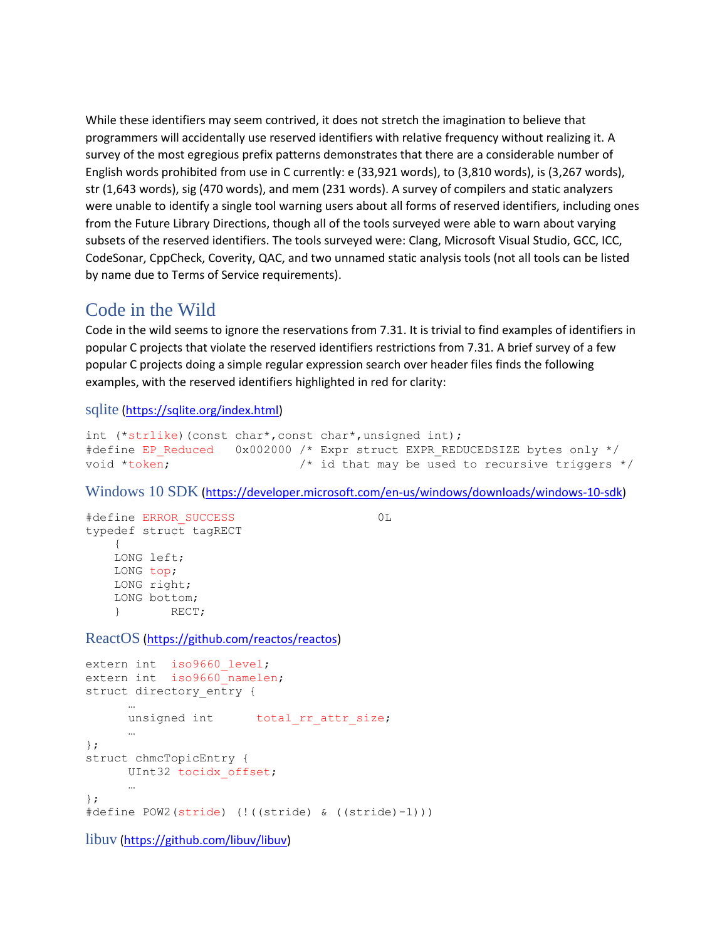While these identifiers may seem contrived, it does not stretch the imagination to believe that programmers will accidentally use reserved identifiers with relative frequency without realizing it. A survey of the most egregious prefix patterns demonstrates that there are a considerable number of English words prohibited from use in C currently: e (33,921 words), to (3,810 words), is (3,267 words), str (1,643 words), sig (470 words), and mem (231 words). A survey of compilers and static analyzers were unable to identify a single tool warning users about all forms of reserved identifiers, including ones from the Future Library Directions, though all of the tools surveyed were able to warn about varying subsets of the reserved identifiers. The tools surveyed were: Clang, Microsoft Visual Studio, GCC, ICC, CodeSonar, CppCheck, Coverity, QAC, and two unnamed static analysis tools (not all tools can be listed by name due to Terms of Service requirements).

### Code in the Wild

Code in the wild seems to ignore the reservations from 7.31. It is trivial to find examples of identifiers in popular C projects that violate the reserved identifiers restrictions from 7.31. A brief survey of a few popular C projects doing a simple regular expression search over header files finds the following examples, with the reserved identifiers highlighted in red for clarity:

sqlite [\(https://sqlite.org/index.html\)](https://sqlite.org/index.html)

```
int (*strlike)(const char*,const char*,unsigned int);
#define EP_Reduced 0x002000 /* Expr struct EXPR_REDUCEDSIZE bytes only */
void *token; \frac{1}{2} /* id that may be used to recursive triggers */
```
Windows 10 SDK [\(https://developer.microsoft.com/en-us/windows/downloads/windows-10-sdk\)](https://developer.microsoft.com/en-us/windows/downloads/windows-10-sdk)

```
#define ERROR_SUCCESS 0L
typedef struct tagRECT
    {
    LONG left;
    LONG top;
    LONG right;
    LONG bottom;
     } RECT;
ReactOS (https://github.com/reactos/reactos)
extern int iso9660 level;
extern int iso9660 namelen;
```

```
struct directory entry {
     …
     unsigned int total_rr_attr_size;
     …
};
struct chmcTopicEntry {
     UInt32 tocidx_offset;
      …
};
#define POW2(stride) (!((stride) & ((stride)-1)))
```
libuv [\(https://github.com/libuv/libuv\)](https://github.com/libuv/libuv)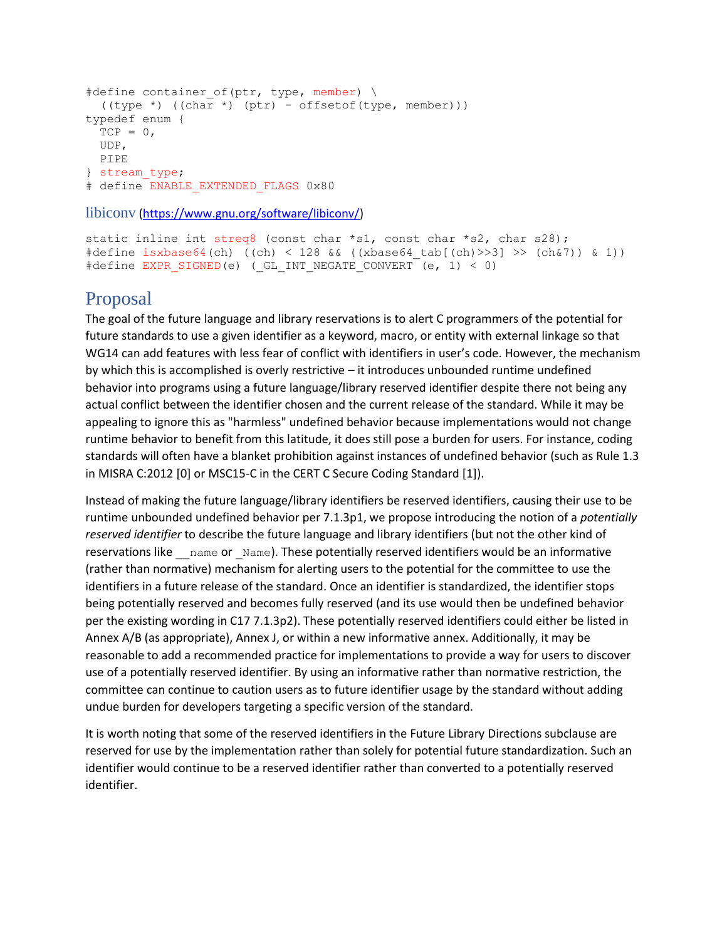```
#define container of(ptr, type, member) \
   ((type *) ((char *) (ptr) - offsetof(type, member)))
typedef enum {
 TCP = 0, UDP,
  PIPE
} stream_type;
# define ENABLE EXTENDED FLAGS 0x80
```
libiconv [\(https://www.gnu.org/software/libiconv/\)](https://www.gnu.org/software/libiconv/)

```
static inline int streq8 (const char *s1, const char *s2, char s28);
#define isxbase64(ch) ((ch) < 128 && ((xbase64 tab[(ch)>>3] >> (ch&7)) & 1))
#define EXPR SIGNED(e) (GL INT NEGATE CONVERT (e, 1) < 0)
```
### Proposal

The goal of the future language and library reservations is to alert C programmers of the potential for future standards to use a given identifier as a keyword, macro, or entity with external linkage so that WG14 can add features with less fear of conflict with identifiers in user's code. However, the mechanism by which this is accomplished is overly restrictive – it introduces unbounded runtime undefined behavior into programs using a future language/library reserved identifier despite there not being any actual conflict between the identifier chosen and the current release of the standard. While it may be appealing to ignore this as "harmless" undefined behavior because implementations would not change runtime behavior to benefit from this latitude, it does still pose a burden for users. For instance, coding standards will often have a blanket prohibition against instances of undefined behavior (such as Rule 1.3 in MISRA C:2012 [0] or MSC15-C in the CERT C Secure Coding Standard [1]).

Instead of making the future language/library identifiers be reserved identifiers, causing their use to be runtime unbounded undefined behavior per 7.1.3p1, we propose introducing the notion of a *potentially reserved identifier* to describe the future language and library identifiers (but not the other kind of reservations like \_\_\_ name or \_Name). These potentially reserved identifiers would be an informative (rather than normative) mechanism for alerting users to the potential for the committee to use the identifiers in a future release of the standard. Once an identifier is standardized, the identifier stops being potentially reserved and becomes fully reserved (and its use would then be undefined behavior per the existing wording in C17 7.1.3p2). These potentially reserved identifiers could either be listed in Annex A/B (as appropriate), Annex J, or within a new informative annex. Additionally, it may be reasonable to add a recommended practice for implementations to provide a way for users to discover use of a potentially reserved identifier. By using an informative rather than normative restriction, the committee can continue to caution users as to future identifier usage by the standard without adding undue burden for developers targeting a specific version of the standard.

It is worth noting that some of the reserved identifiers in the Future Library Directions subclause are reserved for use by the implementation rather than solely for potential future standardization. Such an identifier would continue to be a reserved identifier rather than converted to a potentially reserved identifier.